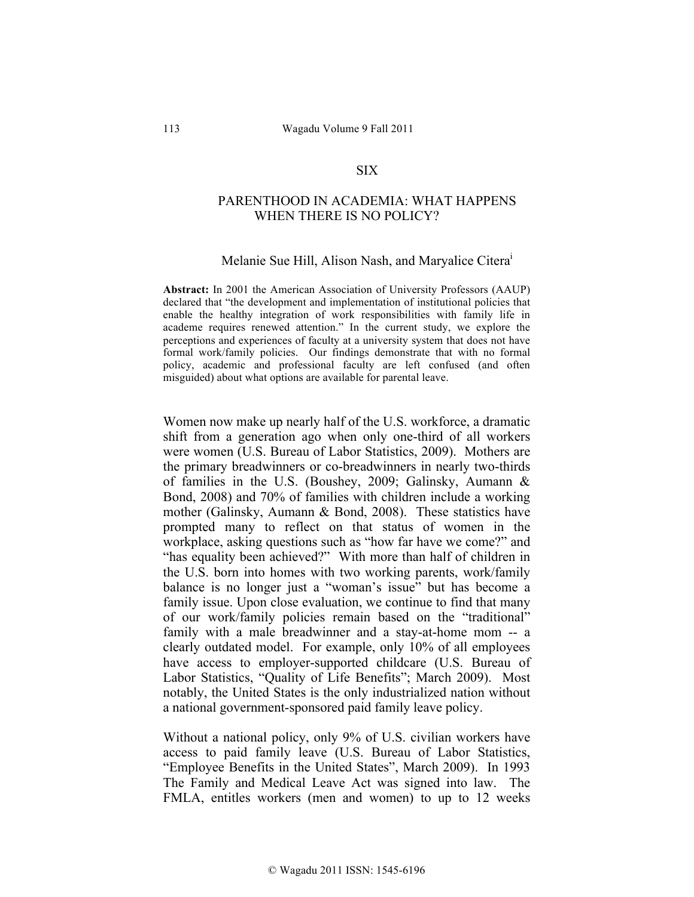### SIX

## PARENTHOOD IN ACADEMIA: WHAT HAPPENS WHEN THERE IS NO POLICY?

### Melanie Sue Hill, Alison Nash, and Maryalice Citerai

**Abstract:** In 2001 the American Association of University Professors (AAUP) declared that "the development and implementation of institutional policies that enable the healthy integration of work responsibilities with family life in academe requires renewed attention." In the current study, we explore the perceptions and experiences of faculty at a university system that does not have formal work/family policies. Our findings demonstrate that with no formal policy, academic and professional faculty are left confused (and often misguided) about what options are available for parental leave.

Women now make up nearly half of the U.S. workforce, a dramatic shift from a generation ago when only one-third of all workers were women (U.S. Bureau of Labor Statistics, 2009). Mothers are the primary breadwinners or co-breadwinners in nearly two-thirds of families in the U.S. (Boushey, 2009; Galinsky, Aumann & Bond, 2008) and 70% of families with children include a working mother (Galinsky, Aumann & Bond, 2008). These statistics have prompted many to reflect on that status of women in the workplace, asking questions such as "how far have we come?" and "has equality been achieved?" With more than half of children in the U.S. born into homes with two working parents, work/family balance is no longer just a "woman's issue" but has become a family issue. Upon close evaluation, we continue to find that many of our work/family policies remain based on the "traditional" family with a male breadwinner and a stay-at-home mom -- a clearly outdated model. For example, only 10% of all employees have access to employer-supported childcare (U.S. Bureau of Labor Statistics, "Quality of Life Benefits"; March 2009). Most notably, the United States is the only industrialized nation without a national government-sponsored paid family leave policy.

Without a national policy, only 9% of U.S. civilian workers have access to paid family leave (U.S. Bureau of Labor Statistics, "Employee Benefits in the United States", March 2009). In 1993 The Family and Medical Leave Act was signed into law. The FMLA, entitles workers (men and women) to up to 12 weeks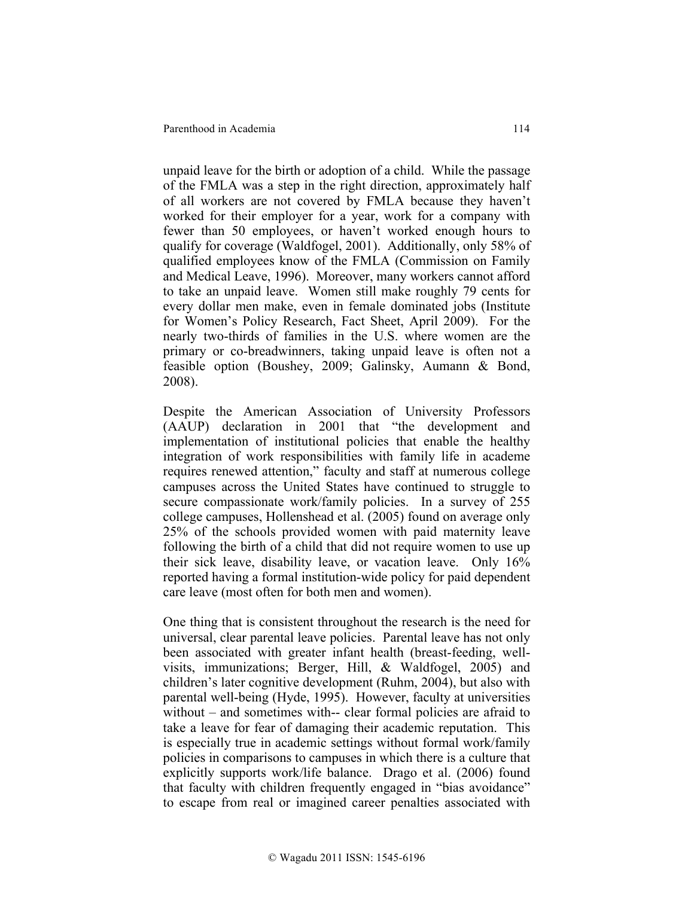unpaid leave for the birth or adoption of a child. While the passage of the FMLA was a step in the right direction, approximately half of all workers are not covered by FMLA because they haven't worked for their employer for a year, work for a company with fewer than 50 employees, or haven't worked enough hours to qualify for coverage (Waldfogel, 2001). Additionally, only 58% of qualified employees know of the FMLA (Commission on Family and Medical Leave, 1996). Moreover, many workers cannot afford to take an unpaid leave. Women still make roughly 79 cents for every dollar men make, even in female dominated jobs (Institute for Women's Policy Research, Fact Sheet, April 2009). For the nearly two-thirds of families in the U.S. where women are the primary or co-breadwinners, taking unpaid leave is often not a feasible option (Boushey, 2009; Galinsky, Aumann & Bond, 2008).

Despite the American Association of University Professors (AAUP) declaration in 2001 that "the development and implementation of institutional policies that enable the healthy integration of work responsibilities with family life in academe requires renewed attention," faculty and staff at numerous college campuses across the United States have continued to struggle to secure compassionate work/family policies. In a survey of 255 college campuses, Hollenshead et al. (2005) found on average only 25% of the schools provided women with paid maternity leave following the birth of a child that did not require women to use up their sick leave, disability leave, or vacation leave. Only 16% reported having a formal institution-wide policy for paid dependent care leave (most often for both men and women).

One thing that is consistent throughout the research is the need for universal, clear parental leave policies. Parental leave has not only been associated with greater infant health (breast-feeding, wellvisits, immunizations; Berger, Hill, & Waldfogel, 2005) and children's later cognitive development (Ruhm, 2004), but also with parental well-being (Hyde, 1995). However, faculty at universities without – and sometimes with-- clear formal policies are afraid to take a leave for fear of damaging their academic reputation. This is especially true in academic settings without formal work/family policies in comparisons to campuses in which there is a culture that explicitly supports work/life balance. Drago et al. (2006) found that faculty with children frequently engaged in "bias avoidance" to escape from real or imagined career penalties associated with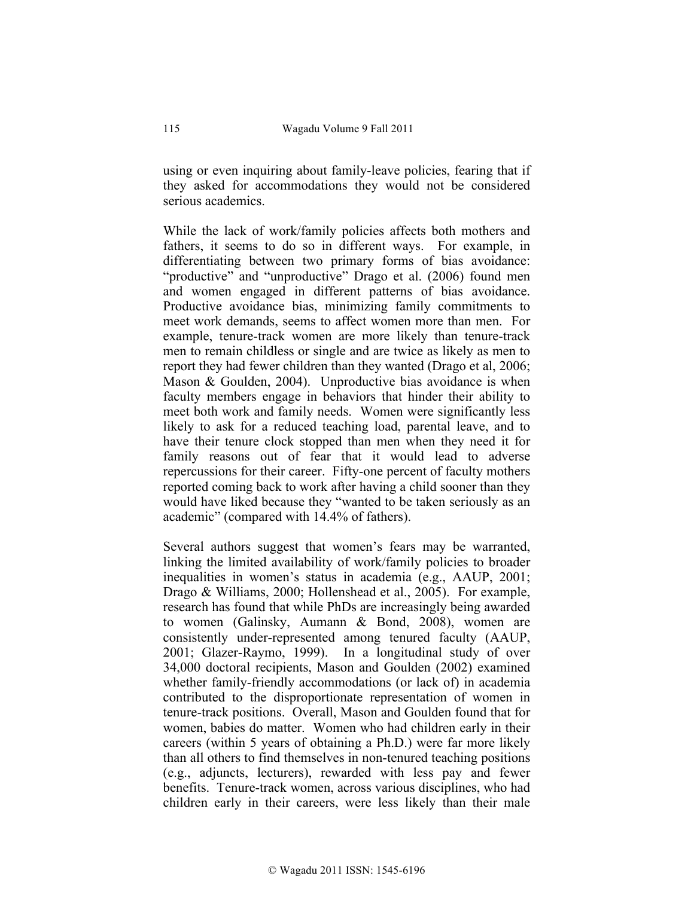using or even inquiring about family-leave policies, fearing that if they asked for accommodations they would not be considered serious academics.

While the lack of work/family policies affects both mothers and fathers, it seems to do so in different ways. For example, in differentiating between two primary forms of bias avoidance: "productive" and "unproductive" Drago et al. (2006) found men and women engaged in different patterns of bias avoidance. Productive avoidance bias, minimizing family commitments to meet work demands, seems to affect women more than men. For example, tenure-track women are more likely than tenure-track men to remain childless or single and are twice as likely as men to report they had fewer children than they wanted (Drago et al, 2006; Mason & Goulden, 2004). Unproductive bias avoidance is when faculty members engage in behaviors that hinder their ability to meet both work and family needs. Women were significantly less likely to ask for a reduced teaching load, parental leave, and to have their tenure clock stopped than men when they need it for family reasons out of fear that it would lead to adverse repercussions for their career. Fifty-one percent of faculty mothers reported coming back to work after having a child sooner than they would have liked because they "wanted to be taken seriously as an academic" (compared with 14.4% of fathers).

Several authors suggest that women's fears may be warranted, linking the limited availability of work/family policies to broader inequalities in women's status in academia (e.g., AAUP, 2001; Drago & Williams, 2000; Hollenshead et al., 2005). For example, research has found that while PhDs are increasingly being awarded to women (Galinsky, Aumann & Bond, 2008), women are consistently under-represented among tenured faculty (AAUP, 2001; Glazer-Raymo, 1999). In a longitudinal study of over 34,000 doctoral recipients, Mason and Goulden (2002) examined whether family-friendly accommodations (or lack of) in academia contributed to the disproportionate representation of women in tenure-track positions. Overall, Mason and Goulden found that for women, babies do matter. Women who had children early in their careers (within 5 years of obtaining a Ph.D.) were far more likely than all others to find themselves in non-tenured teaching positions (e.g., adjuncts, lecturers), rewarded with less pay and fewer benefits. Tenure-track women, across various disciplines, who had children early in their careers, were less likely than their male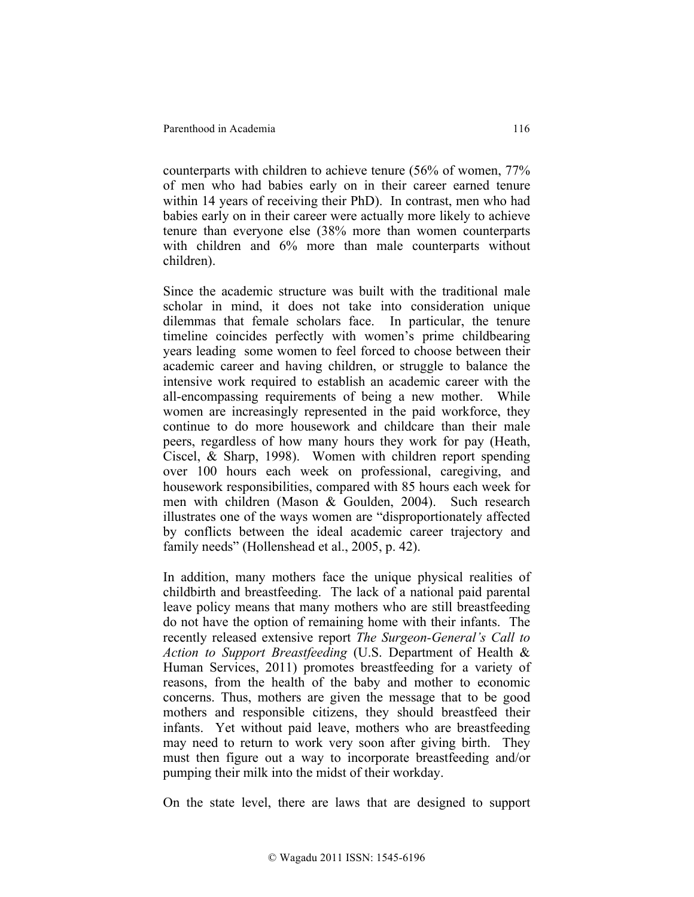counterparts with children to achieve tenure (56% of women, 77% of men who had babies early on in their career earned tenure within 14 years of receiving their PhD). In contrast, men who had babies early on in their career were actually more likely to achieve tenure than everyone else (38% more than women counterparts with children and 6% more than male counterparts without children).

Since the academic structure was built with the traditional male scholar in mind, it does not take into consideration unique dilemmas that female scholars face. In particular, the tenure timeline coincides perfectly with women's prime childbearing years leading some women to feel forced to choose between their academic career and having children, or struggle to balance the intensive work required to establish an academic career with the all-encompassing requirements of being a new mother. While women are increasingly represented in the paid workforce, they continue to do more housework and childcare than their male peers, regardless of how many hours they work for pay (Heath, Ciscel, & Sharp, 1998). Women with children report spending over 100 hours each week on professional, caregiving, and housework responsibilities, compared with 85 hours each week for men with children (Mason & Goulden, 2004). Such research illustrates one of the ways women are "disproportionately affected by conflicts between the ideal academic career trajectory and family needs" (Hollenshead et al., 2005, p. 42).

In addition, many mothers face the unique physical realities of childbirth and breastfeeding. The lack of a national paid parental leave policy means that many mothers who are still breastfeeding do not have the option of remaining home with their infants. The recently released extensive report *The Surgeon-General's Call to Action to Support Breastfeeding* (U.S. Department of Health & Human Services, 2011) promotes breastfeeding for a variety of reasons, from the health of the baby and mother to economic concerns. Thus, mothers are given the message that to be good mothers and responsible citizens, they should breastfeed their infants. Yet without paid leave, mothers who are breastfeeding may need to return to work very soon after giving birth. They must then figure out a way to incorporate breastfeeding and/or pumping their milk into the midst of their workday.

On the state level, there are laws that are designed to support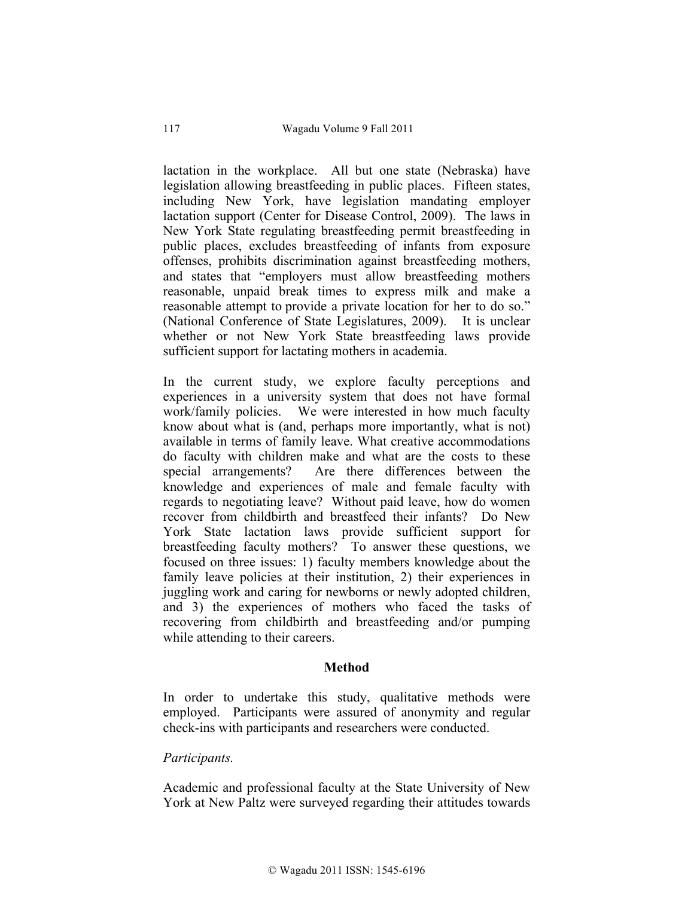lactation in the workplace. All but one state (Nebraska) have legislation allowing breastfeeding in public places. Fifteen states, including New York, have legislation mandating employer lactation support (Center for Disease Control, 2009). The laws in New York State regulating breastfeeding permit breastfeeding in public places, excludes breastfeeding of infants from exposure offenses, prohibits discrimination against breastfeeding mothers, and states that "employers must allow breastfeeding mothers reasonable, unpaid break times to express milk and make a reasonable attempt to provide a private location for her to do so." (National Conference of State Legislatures, 2009). It is unclear whether or not New York State breastfeeding laws provide sufficient support for lactating mothers in academia.

In the current study, we explore faculty perceptions and experiences in a university system that does not have formal work/family policies. We were interested in how much faculty know about what is (and, perhaps more importantly, what is not) available in terms of family leave. What creative accommodations do faculty with children make and what are the costs to these special arrangements? Are there differences between the knowledge and experiences of male and female faculty with regards to negotiating leave? Without paid leave, how do women recover from childbirth and breastfeed their infants? Do New York State lactation laws provide sufficient support for breastfeeding faculty mothers? To answer these questions, we focused on three issues: 1) faculty members knowledge about the family leave policies at their institution, 2) their experiences in juggling work and caring for newborns or newly adopted children, and 3) the experiences of mothers who faced the tasks of recovering from childbirth and breastfeeding and/or pumping while attending to their careers.

## **Method**

In order to undertake this study, qualitative methods were employed. Participants were assured of anonymity and regular check-ins with participants and researchers were conducted.

# *Participants.*

Academic and professional faculty at the State University of New York at New Paltz were surveyed regarding their attitudes towards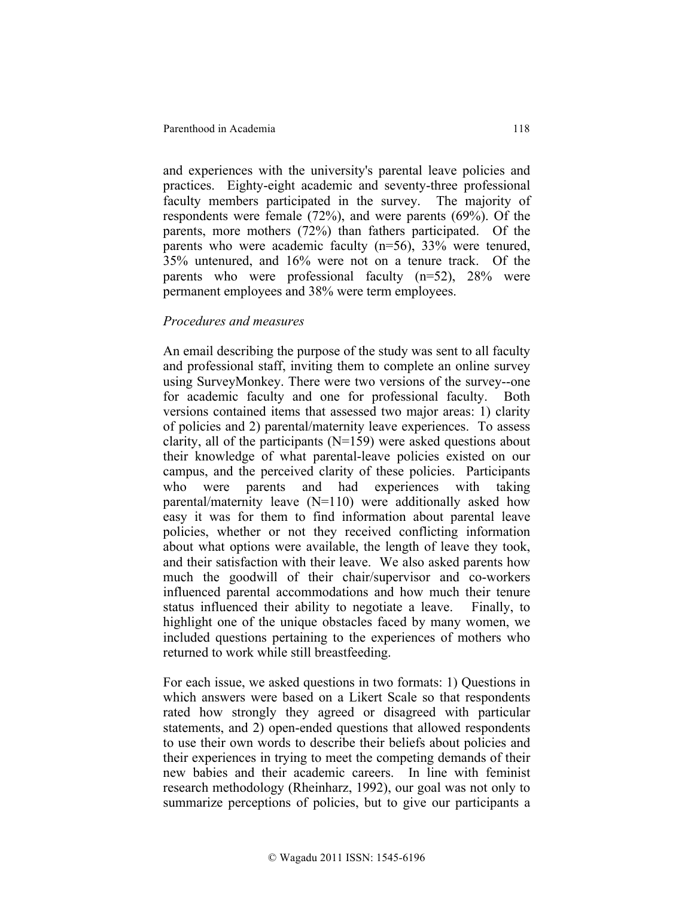and experiences with the university's parental leave policies and practices. Eighty-eight academic and seventy-three professional faculty members participated in the survey. The majority of respondents were female (72%), and were parents (69%). Of the parents, more mothers (72%) than fathers participated. Of the parents who were academic faculty (n=56), 33% were tenured, 35% untenured, and 16% were not on a tenure track. Of the parents who were professional faculty (n=52), 28% were permanent employees and 38% were term employees.

### *Procedures and measures*

An email describing the purpose of the study was sent to all faculty and professional staff, inviting them to complete an online survey using SurveyMonkey. There were two versions of the survey--one for academic faculty and one for professional faculty. Both versions contained items that assessed two major areas: 1) clarity of policies and 2) parental/maternity leave experiences. To assess clarity, all of the participants (N=159) were asked questions about their knowledge of what parental-leave policies existed on our campus, and the perceived clarity of these policies. Participants who were parents and had experiences with taking parental/maternity leave (N=110) were additionally asked how easy it was for them to find information about parental leave policies, whether or not they received conflicting information about what options were available, the length of leave they took, and their satisfaction with their leave. We also asked parents how much the goodwill of their chair/supervisor and co-workers influenced parental accommodations and how much their tenure status influenced their ability to negotiate a leave. Finally, to highlight one of the unique obstacles faced by many women, we included questions pertaining to the experiences of mothers who returned to work while still breastfeeding.

For each issue, we asked questions in two formats: 1) Questions in which answers were based on a Likert Scale so that respondents rated how strongly they agreed or disagreed with particular statements, and 2) open-ended questions that allowed respondents to use their own words to describe their beliefs about policies and their experiences in trying to meet the competing demands of their new babies and their academic careers. In line with feminist research methodology (Rheinharz, 1992), our goal was not only to summarize perceptions of policies, but to give our participants a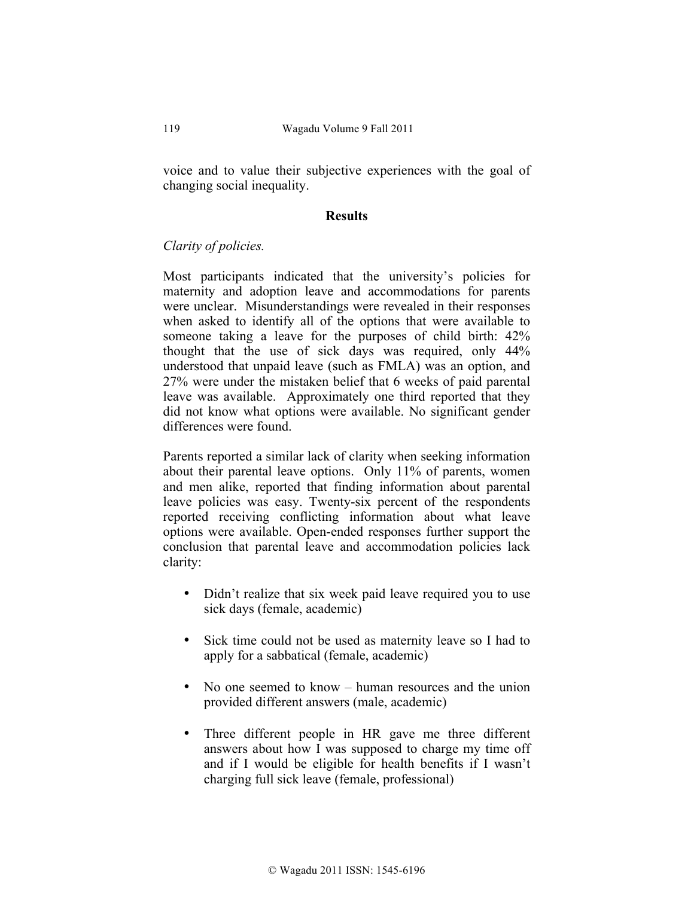voice and to value their subjective experiences with the goal of changing social inequality.

### **Results**

#### *Clarity of policies.*

Most participants indicated that the university's policies for maternity and adoption leave and accommodations for parents were unclear. Misunderstandings were revealed in their responses when asked to identify all of the options that were available to someone taking a leave for the purposes of child birth: 42% thought that the use of sick days was required, only 44% understood that unpaid leave (such as FMLA) was an option, and 27% were under the mistaken belief that 6 weeks of paid parental leave was available. Approximately one third reported that they did not know what options were available. No significant gender differences were found.

Parents reported a similar lack of clarity when seeking information about their parental leave options. Only 11% of parents, women and men alike, reported that finding information about parental leave policies was easy. Twenty-six percent of the respondents reported receiving conflicting information about what leave options were available. Open-ended responses further support the conclusion that parental leave and accommodation policies lack clarity:

- Didn't realize that six week paid leave required you to use sick days (female, academic)
- Sick time could not be used as maternity leave so I had to apply for a sabbatical (female, academic)
- No one seemed to know human resources and the union provided different answers (male, academic)
- Three different people in HR gave me three different answers about how I was supposed to charge my time off and if I would be eligible for health benefits if I wasn't charging full sick leave (female, professional)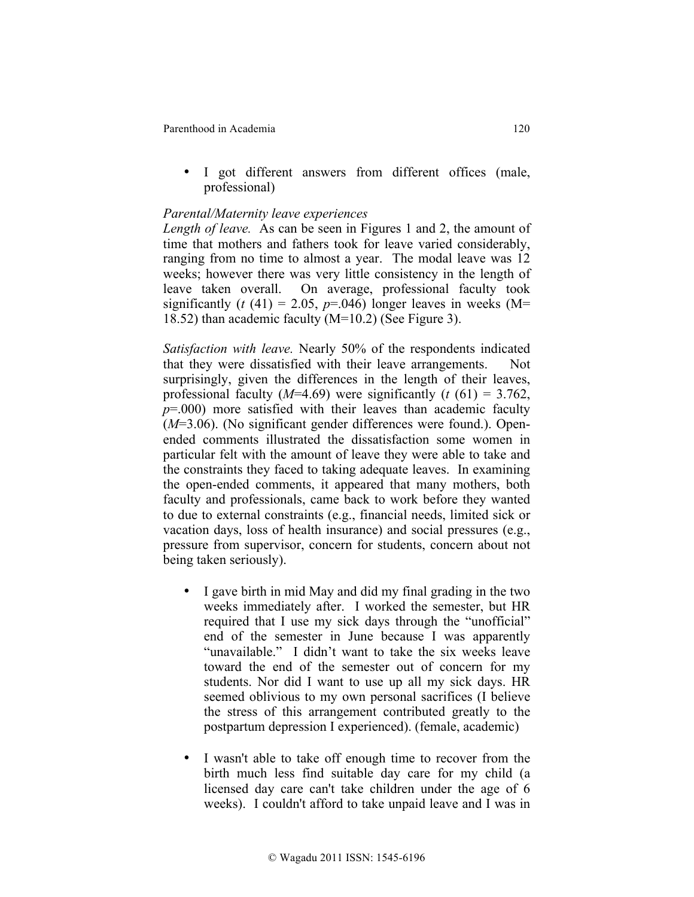Parenthood in Academia 120

• I got different answers from different offices (male, professional)

### *Parental/Maternity leave experiences*

*Length of leave.* As can be seen in Figures 1 and 2, the amount of time that mothers and fathers took for leave varied considerably, ranging from no time to almost a year. The modal leave was 12 weeks; however there was very little consistency in the length of leave taken overall. On average, professional faculty took significantly ( $t$  (41) = 2.05,  $p=0.046$ ) longer leaves in weeks (M= 18.52) than academic faculty (M=10.2) (See Figure 3).

*Satisfaction with leave.* Nearly 50% of the respondents indicated that they were dissatisfied with their leave arrangements. Not surprisingly, given the differences in the length of their leaves, professional faculty ( $M=4.69$ ) were significantly ( $t(61) = 3.762$ , *p*=.000) more satisfied with their leaves than academic faculty (*M*=3.06). (No significant gender differences were found.). Openended comments illustrated the dissatisfaction some women in particular felt with the amount of leave they were able to take and the constraints they faced to taking adequate leaves. In examining the open-ended comments, it appeared that many mothers, both faculty and professionals, came back to work before they wanted to due to external constraints (e.g., financial needs, limited sick or vacation days, loss of health insurance) and social pressures (e.g., pressure from supervisor, concern for students, concern about not being taken seriously).

- I gave birth in mid May and did my final grading in the two weeks immediately after. I worked the semester, but HR required that I use my sick days through the "unofficial" end of the semester in June because I was apparently "unavailable." I didn't want to take the six weeks leave toward the end of the semester out of concern for my students. Nor did I want to use up all my sick days. HR seemed oblivious to my own personal sacrifices (I believe the stress of this arrangement contributed greatly to the postpartum depression I experienced). (female, academic)
- I wasn't able to take off enough time to recover from the birth much less find suitable day care for my child (a licensed day care can't take children under the age of 6 weeks). I couldn't afford to take unpaid leave and I was in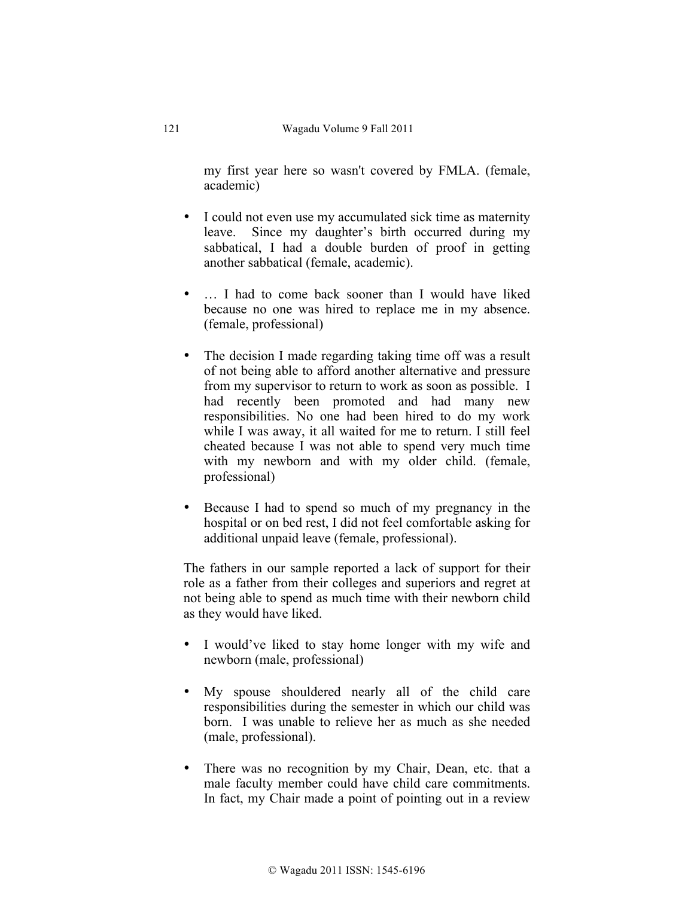my first year here so wasn't covered by FMLA. (female, academic)

- I could not even use my accumulated sick time as maternity leave. Since my daughter's birth occurred during my sabbatical, I had a double burden of proof in getting another sabbatical (female, academic).
- ... I had to come back sooner than I would have liked because no one was hired to replace me in my absence. (female, professional)
- The decision I made regarding taking time off was a result of not being able to afford another alternative and pressure from my supervisor to return to work as soon as possible. I had recently been promoted and had many new responsibilities. No one had been hired to do my work while I was away, it all waited for me to return. I still feel cheated because I was not able to spend very much time with my newborn and with my older child. (female, professional)
- Because I had to spend so much of my pregnancy in the hospital or on bed rest, I did not feel comfortable asking for additional unpaid leave (female, professional).

The fathers in our sample reported a lack of support for their role as a father from their colleges and superiors and regret at not being able to spend as much time with their newborn child as they would have liked.

- I would've liked to stay home longer with my wife and newborn (male, professional)
- My spouse shouldered nearly all of the child care responsibilities during the semester in which our child was born. I was unable to relieve her as much as she needed (male, professional).
- There was no recognition by my Chair, Dean, etc. that a male faculty member could have child care commitments. In fact, my Chair made a point of pointing out in a review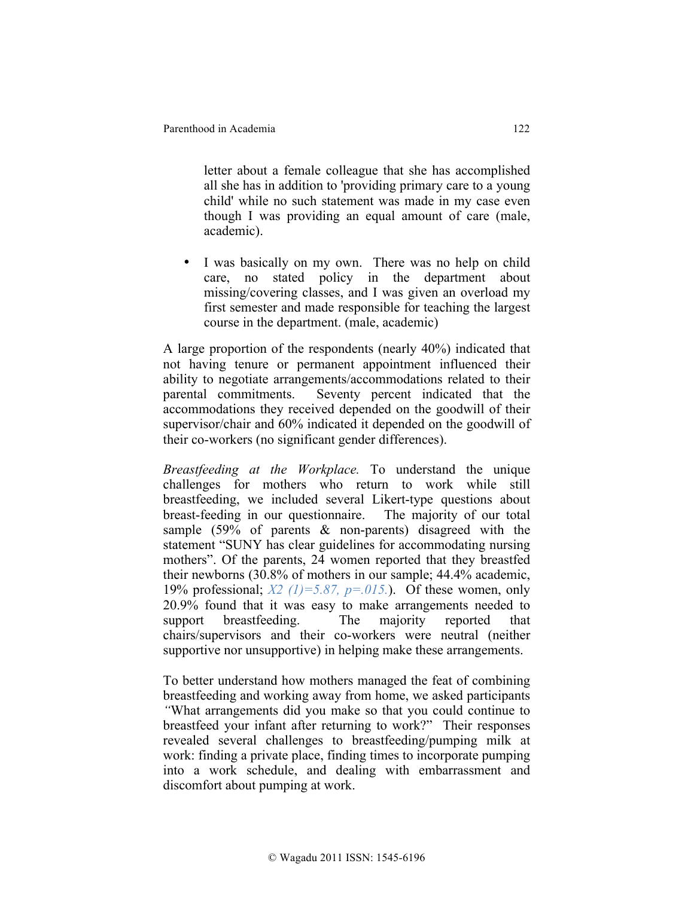letter about a female colleague that she has accomplished all she has in addition to 'providing primary care to a young child' while no such statement was made in my case even though I was providing an equal amount of care (male, academic).

I was basically on my own. There was no help on child care, no stated policy in the department about missing/covering classes, and I was given an overload my first semester and made responsible for teaching the largest course in the department. (male, academic)

A large proportion of the respondents (nearly 40%) indicated that not having tenure or permanent appointment influenced their ability to negotiate arrangements/accommodations related to their parental commitments. Seventy percent indicated that the accommodations they received depended on the goodwill of their supervisor/chair and 60% indicated it depended on the goodwill of their co-workers (no significant gender differences).

*Breastfeeding at the Workplace.* To understand the unique challenges for mothers who return to work while still breastfeeding, we included several Likert-type questions about breast-feeding in our questionnaire. The majority of our total sample (59% of parents & non-parents) disagreed with the statement "SUNY has clear guidelines for accommodating nursing mothers". Of the parents, 24 women reported that they breastfed their newborns (30.8% of mothers in our sample; 44.4% academic, 19% professional; *Χ2 (1)=5.87, p=.015.*). Of these women, only 20.9% found that it was easy to make arrangements needed to support breastfeeding. The majority reported that chairs/supervisors and their co-workers were neutral (neither supportive nor unsupportive) in helping make these arrangements.

To better understand how mothers managed the feat of combining breastfeeding and working away from home, we asked participants *"*What arrangements did you make so that you could continue to breastfeed your infant after returning to work?"Their responses revealed several challenges to breastfeeding/pumping milk at work: finding a private place, finding times to incorporate pumping into a work schedule, and dealing with embarrassment and discomfort about pumping at work.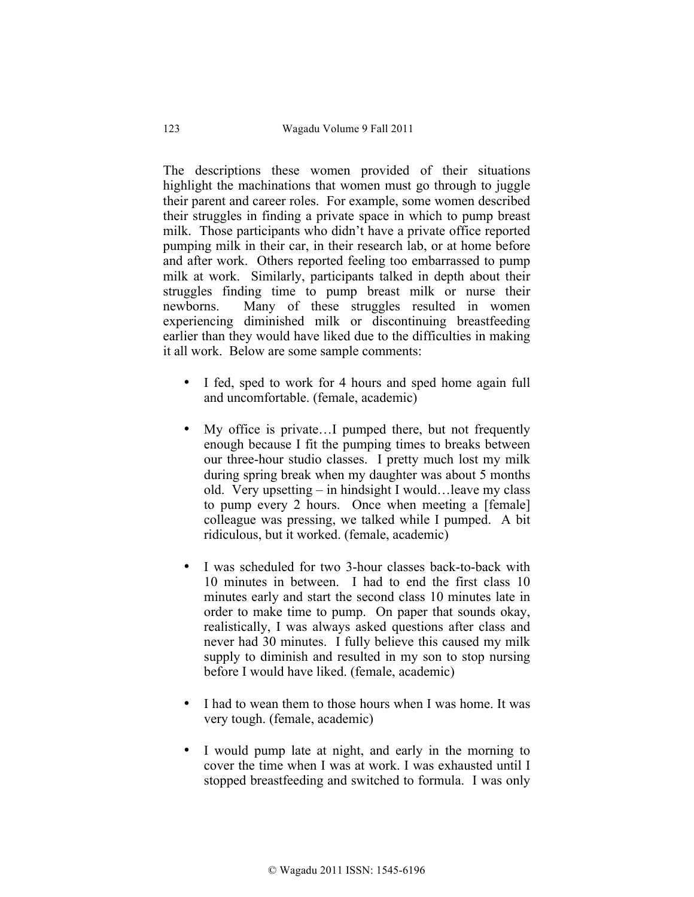The descriptions these women provided of their situations highlight the machinations that women must go through to juggle their parent and career roles. For example, some women described their struggles in finding a private space in which to pump breast milk. Those participants who didn't have a private office reported pumping milk in their car, in their research lab, or at home before and after work. Others reported feeling too embarrassed to pump milk at work. Similarly, participants talked in depth about their struggles finding time to pump breast milk or nurse their newborns. Many of these struggles resulted in women experiencing diminished milk or discontinuing breastfeeding earlier than they would have liked due to the difficulties in making it all work. Below are some sample comments:

- I fed, sped to work for 4 hours and sped home again full and uncomfortable. (female, academic)
- My office is private...I pumped there, but not frequently enough because I fit the pumping times to breaks between our three-hour studio classes. I pretty much lost my milk during spring break when my daughter was about 5 months old. Very upsetting – in hindsight I would…leave my class to pump every 2 hours. Once when meeting a [female] colleague was pressing, we talked while I pumped. A bit ridiculous, but it worked. (female, academic)
- I was scheduled for two 3-hour classes back-to-back with 10 minutes in between. I had to end the first class 10 minutes early and start the second class 10 minutes late in order to make time to pump. On paper that sounds okay, realistically, I was always asked questions after class and never had 30 minutes. I fully believe this caused my milk supply to diminish and resulted in my son to stop nursing before I would have liked. (female, academic)
- I had to wean them to those hours when I was home. It was very tough. (female, academic)
- I would pump late at night, and early in the morning to cover the time when I was at work. I was exhausted until I stopped breastfeeding and switched to formula. I was only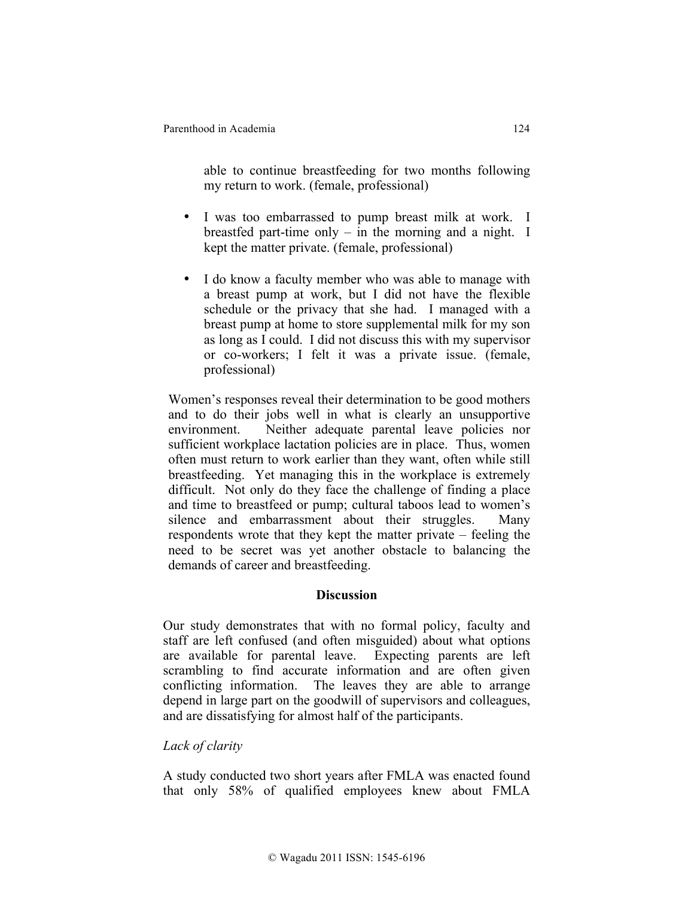able to continue breastfeeding for two months following my return to work. (female, professional)

- I was too embarrassed to pump breast milk at work. I breastfed part-time only  $-$  in the morning and a night. I kept the matter private. (female, professional)
- I do know a faculty member who was able to manage with a breast pump at work, but I did not have the flexible schedule or the privacy that she had. I managed with a breast pump at home to store supplemental milk for my son as long as I could. I did not discuss this with my supervisor or co-workers; I felt it was a private issue. (female, professional)

Women's responses reveal their determination to be good mothers and to do their jobs well in what is clearly an unsupportive environment. Neither adequate parental leave policies nor sufficient workplace lactation policies are in place. Thus, women often must return to work earlier than they want, often while still breastfeeding. Yet managing this in the workplace is extremely difficult. Not only do they face the challenge of finding a place and time to breastfeed or pump; cultural taboos lead to women's silence and embarrassment about their struggles. Many respondents wrote that they kept the matter private – feeling the need to be secret was yet another obstacle to balancing the demands of career and breastfeeding.

#### **Discussion**

Our study demonstrates that with no formal policy, faculty and staff are left confused (and often misguided) about what options are available for parental leave. Expecting parents are left scrambling to find accurate information and are often given conflicting information. The leaves they are able to arrange depend in large part on the goodwill of supervisors and colleagues, and are dissatisfying for almost half of the participants.

## *Lack of clarity*

A study conducted two short years after FMLA was enacted found that only 58% of qualified employees knew about FMLA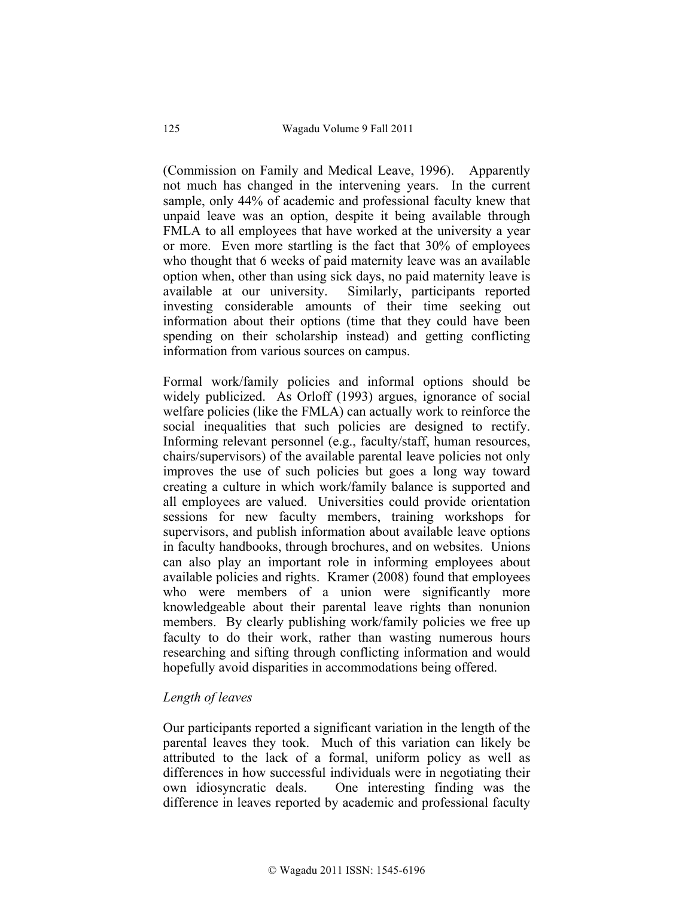(Commission on Family and Medical Leave, 1996). Apparently not much has changed in the intervening years. In the current sample, only 44% of academic and professional faculty knew that unpaid leave was an option, despite it being available through FMLA to all employees that have worked at the university a year or more. Even more startling is the fact that 30% of employees who thought that 6 weeks of paid maternity leave was an available option when, other than using sick days, no paid maternity leave is available at our university. Similarly, participants reported investing considerable amounts of their time seeking out information about their options (time that they could have been spending on their scholarship instead) and getting conflicting information from various sources on campus.

Formal work/family policies and informal options should be widely publicized. As Orloff (1993) argues, ignorance of social welfare policies (like the FMLA) can actually work to reinforce the social inequalities that such policies are designed to rectify. Informing relevant personnel (e.g., faculty/staff, human resources, chairs/supervisors) of the available parental leave policies not only improves the use of such policies but goes a long way toward creating a culture in which work/family balance is supported and all employees are valued. Universities could provide orientation sessions for new faculty members, training workshops for supervisors, and publish information about available leave options in faculty handbooks, through brochures, and on websites. Unions can also play an important role in informing employees about available policies and rights. Kramer (2008) found that employees who were members of a union were significantly more knowledgeable about their parental leave rights than nonunion members. By clearly publishing work/family policies we free up faculty to do their work, rather than wasting numerous hours researching and sifting through conflicting information and would hopefully avoid disparities in accommodations being offered.

## *Length of leaves*

Our participants reported a significant variation in the length of the parental leaves they took. Much of this variation can likely be attributed to the lack of a formal, uniform policy as well as differences in how successful individuals were in negotiating their own idiosyncratic deals. One interesting finding was the difference in leaves reported by academic and professional faculty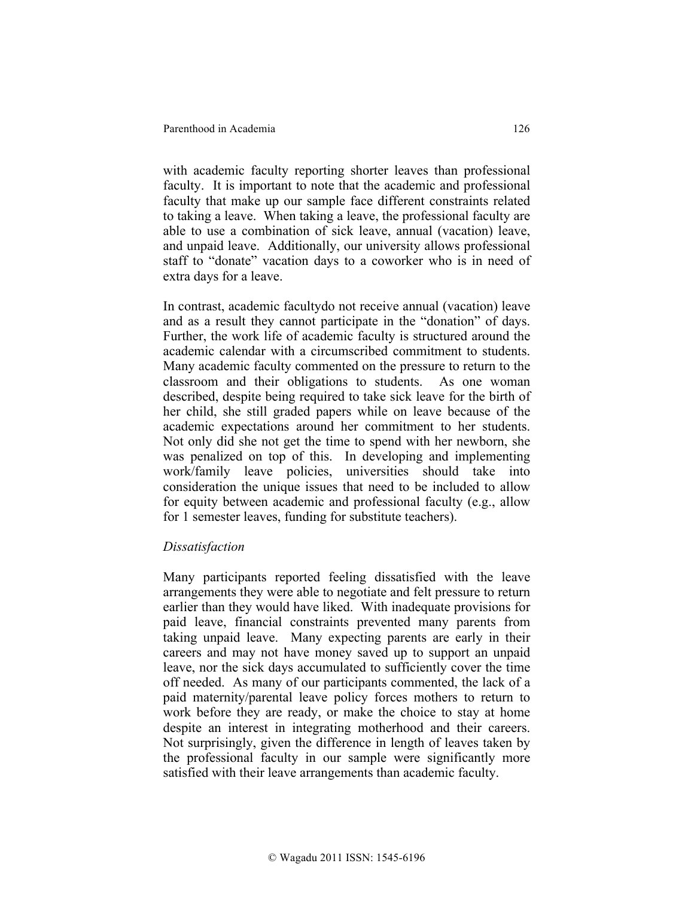with academic faculty reporting shorter leaves than professional faculty. It is important to note that the academic and professional faculty that make up our sample face different constraints related to taking a leave. When taking a leave, the professional faculty are able to use a combination of sick leave, annual (vacation) leave, and unpaid leave. Additionally, our university allows professional staff to "donate" vacation days to a coworker who is in need of extra days for a leave.

In contrast, academic facultydo not receive annual (vacation) leave and as a result they cannot participate in the "donation" of days. Further, the work life of academic faculty is structured around the academic calendar with a circumscribed commitment to students. Many academic faculty commented on the pressure to return to the classroom and their obligations to students. As one woman described, despite being required to take sick leave for the birth of her child, she still graded papers while on leave because of the academic expectations around her commitment to her students. Not only did she not get the time to spend with her newborn, she was penalized on top of this. In developing and implementing work/family leave policies, universities should take into consideration the unique issues that need to be included to allow for equity between academic and professional faculty (e.g., allow for 1 semester leaves, funding for substitute teachers).

### *Dissatisfaction*

Many participants reported feeling dissatisfied with the leave arrangements they were able to negotiate and felt pressure to return earlier than they would have liked. With inadequate provisions for paid leave, financial constraints prevented many parents from taking unpaid leave. Many expecting parents are early in their careers and may not have money saved up to support an unpaid leave, nor the sick days accumulated to sufficiently cover the time off needed. As many of our participants commented, the lack of a paid maternity/parental leave policy forces mothers to return to work before they are ready, or make the choice to stay at home despite an interest in integrating motherhood and their careers. Not surprisingly, given the difference in length of leaves taken by the professional faculty in our sample were significantly more satisfied with their leave arrangements than academic faculty.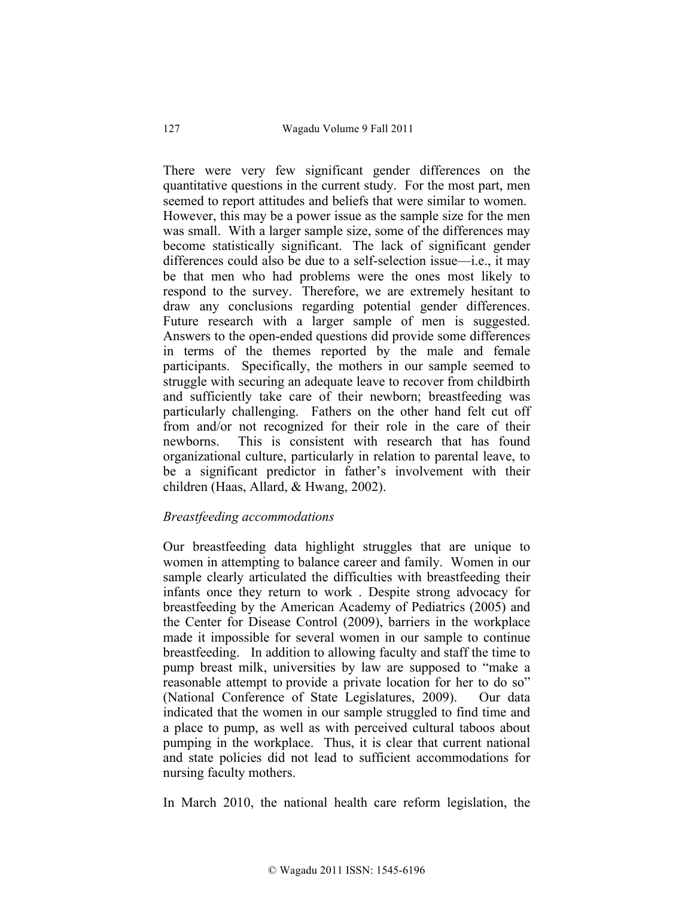There were very few significant gender differences on the quantitative questions in the current study. For the most part, men seemed to report attitudes and beliefs that were similar to women. However, this may be a power issue as the sample size for the men was small. With a larger sample size, some of the differences may become statistically significant. The lack of significant gender differences could also be due to a self-selection issue—i.e., it may be that men who had problems were the ones most likely to respond to the survey. Therefore, we are extremely hesitant to draw any conclusions regarding potential gender differences. Future research with a larger sample of men is suggested. Answers to the open-ended questions did provide some differences in terms of the themes reported by the male and female participants. Specifically, the mothers in our sample seemed to struggle with securing an adequate leave to recover from childbirth and sufficiently take care of their newborn; breastfeeding was particularly challenging. Fathers on the other hand felt cut off from and/or not recognized for their role in the care of their newborns. This is consistent with research that has found organizational culture, particularly in relation to parental leave, to be a significant predictor in father's involvement with their children (Haas, Allard, & Hwang, 2002).

#### *Breastfeeding accommodations*

Our breastfeeding data highlight struggles that are unique to women in attempting to balance career and family. Women in our sample clearly articulated the difficulties with breastfeeding their infants once they return to work . Despite strong advocacy for breastfeeding by the American Academy of Pediatrics (2005) and the Center for Disease Control (2009), barriers in the workplace made it impossible for several women in our sample to continue breastfeeding. In addition to allowing faculty and staff the time to pump breast milk, universities by law are supposed to "make a reasonable attempt to provide a private location for her to do so" (National Conference of State Legislatures, 2009). Our data indicated that the women in our sample struggled to find time and a place to pump, as well as with perceived cultural taboos about pumping in the workplace. Thus, it is clear that current national and state policies did not lead to sufficient accommodations for nursing faculty mothers.

In March 2010, the national health care reform legislation, the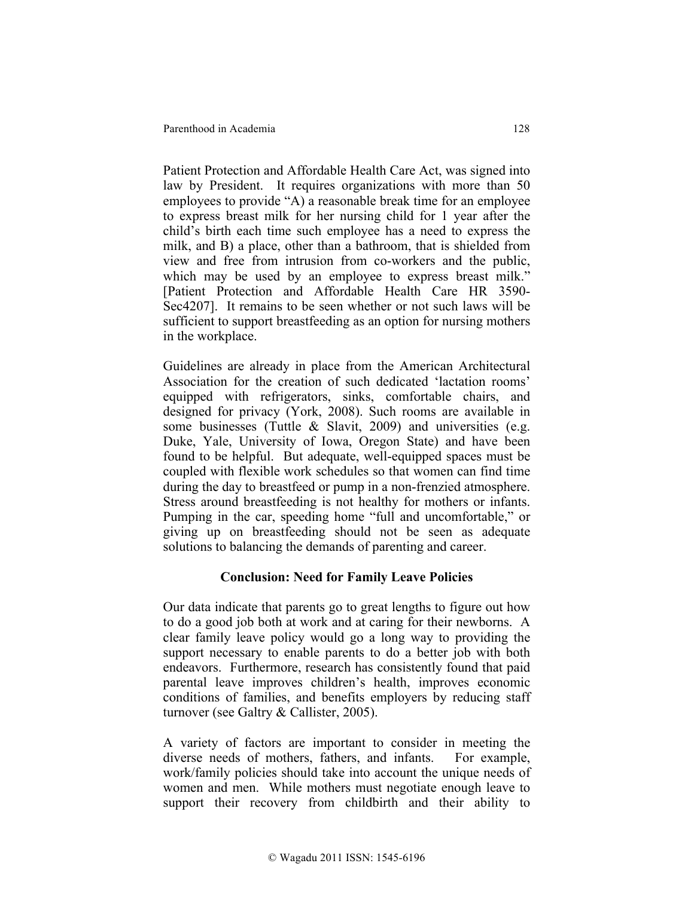Patient Protection and Affordable Health Care Act, was signed into law by President. It requires organizations with more than 50 employees to provide "A) a reasonable break time for an employee to express breast milk for her nursing child for 1 year after the child's birth each time such employee has a need to express the milk, and B) a place, other than a bathroom, that is shielded from view and free from intrusion from co-workers and the public, which may be used by an employee to express breast milk." [Patient Protection and Affordable Health Care HR 3590- Sec4207]. It remains to be seen whether or not such laws will be sufficient to support breastfeeding as an option for nursing mothers in the workplace.

Guidelines are already in place from the American Architectural Association for the creation of such dedicated 'lactation rooms' equipped with refrigerators, sinks, comfortable chairs, and designed for privacy (York, 2008). Such rooms are available in some businesses (Tuttle & Slavit, 2009) and universities (e.g. Duke, Yale, University of Iowa, Oregon State) and have been found to be helpful. But adequate, well-equipped spaces must be coupled with flexible work schedules so that women can find time during the day to breastfeed or pump in a non-frenzied atmosphere. Stress around breastfeeding is not healthy for mothers or infants. Pumping in the car, speeding home "full and uncomfortable," or giving up on breastfeeding should not be seen as adequate solutions to balancing the demands of parenting and career.

## **Conclusion: Need for Family Leave Policies**

Our data indicate that parents go to great lengths to figure out how to do a good job both at work and at caring for their newborns. A clear family leave policy would go a long way to providing the support necessary to enable parents to do a better job with both endeavors. Furthermore, research has consistently found that paid parental leave improves children's health, improves economic conditions of families, and benefits employers by reducing staff turnover (see Galtry & Callister, 2005).

A variety of factors are important to consider in meeting the diverse needs of mothers, fathers, and infants. For example, work/family policies should take into account the unique needs of women and men. While mothers must negotiate enough leave to support their recovery from childbirth and their ability to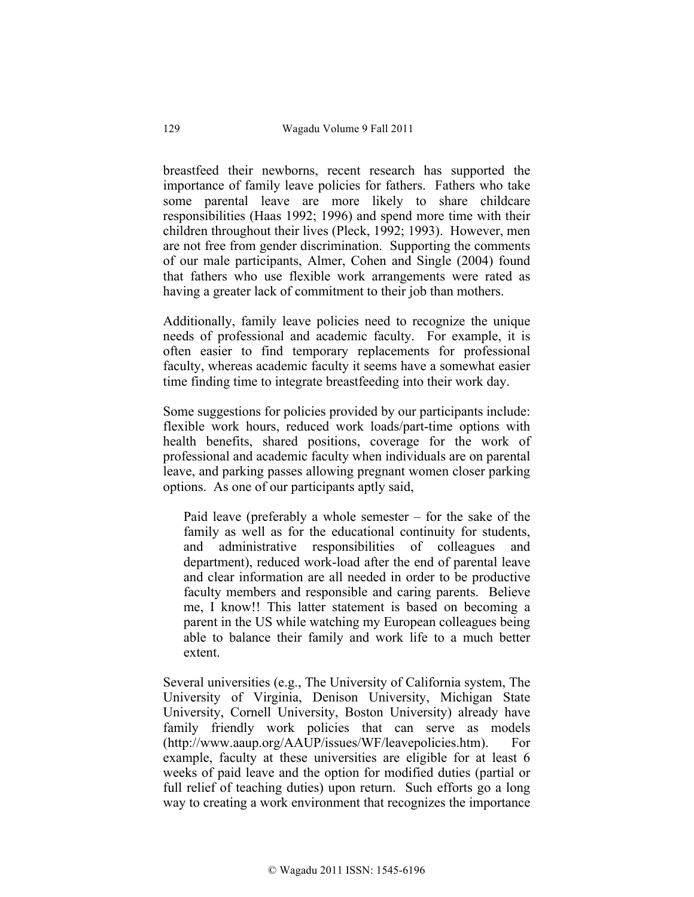breastfeed their newborns, recent research has supported the importance of family leave policies for fathers. Fathers who take some parental leave are more likely to share childcare responsibilities (Haas 1992; 1996) and spend more time with their children throughout their lives (Pleck, 1992; 1993). However, men are not free from gender discrimination. Supporting the comments of our male participants, Almer, Cohen and Single (2004) found that fathers who use flexible work arrangements were rated as having a greater lack of commitment to their job than mothers.

Additionally, family leave policies need to recognize the unique needs of professional and academic faculty. For example, it is often easier to find temporary replacements for professional faculty, whereas academic faculty it seems have a somewhat easier time finding time to integrate breastfeeding into their work day.

Some suggestions for policies provided by our participants include: flexible work hours, reduced work loads/part-time options with health benefits, shared positions, coverage for the work of professional and academic faculty when individuals are on parental leave, and parking passes allowing pregnant women closer parking options. As one of our participants aptly said,

Paid leave (preferably a whole semester – for the sake of the family as well as for the educational continuity for students, and administrative responsibilities of colleagues and department), reduced work-load after the end of parental leave and clear information are all needed in order to be productive faculty members and responsible and caring parents. Believe me, I know!! This latter statement is based on becoming a parent in the US while watching my European colleagues being able to balance their family and work life to a much better extent.

Several universities (e.g., The University of California system, The University of Virginia, Denison University, Michigan State University, Cornell University, Boston University) already have family friendly work policies that can serve as models (http://www.aaup.org/AAUP/issues/WF/leavepolicies.htm). For example, faculty at these universities are eligible for at least 6 weeks of paid leave and the option for modified duties (partial or full relief of teaching duties) upon return. Such efforts go a long way to creating a work environment that recognizes the importance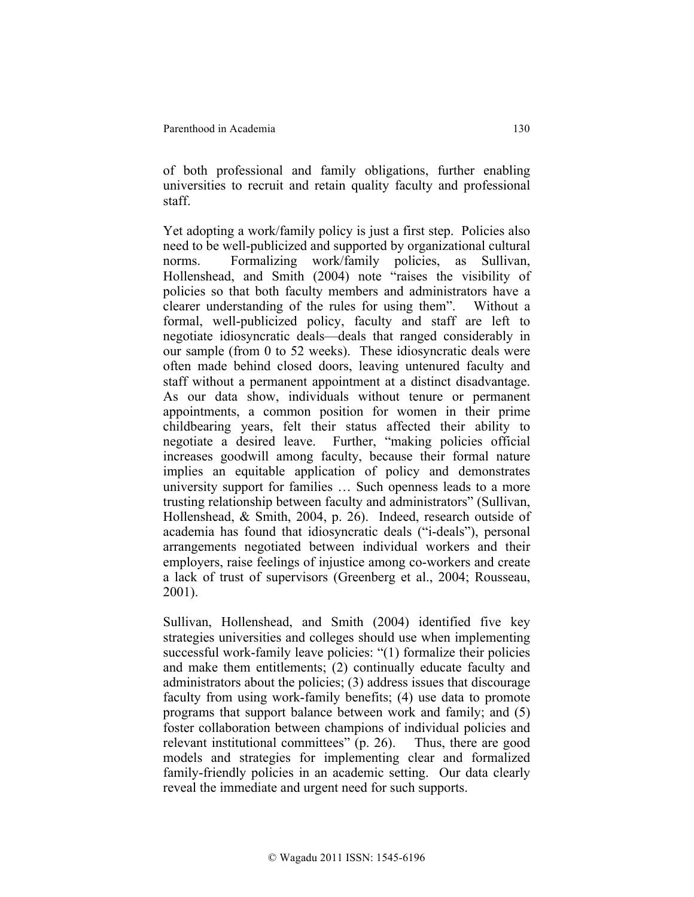of both professional and family obligations, further enabling universities to recruit and retain quality faculty and professional staff.

Yet adopting a work/family policy is just a first step. Policies also need to be well-publicized and supported by organizational cultural norms. Formalizing work/family policies, as Sullivan, Hollenshead, and Smith (2004) note "raises the visibility of policies so that both faculty members and administrators have a clearer understanding of the rules for using them". Without a formal, well-publicized policy, faculty and staff are left to negotiate idiosyncratic deals—deals that ranged considerably in our sample (from 0 to 52 weeks). These idiosyncratic deals were often made behind closed doors, leaving untenured faculty and staff without a permanent appointment at a distinct disadvantage. As our data show, individuals without tenure or permanent appointments, a common position for women in their prime childbearing years, felt their status affected their ability to negotiate a desired leave. Further, "making policies official increases goodwill among faculty, because their formal nature implies an equitable application of policy and demonstrates university support for families … Such openness leads to a more trusting relationship between faculty and administrators" (Sullivan, Hollenshead, & Smith, 2004, p. 26). Indeed, research outside of academia has found that idiosyncratic deals ("i-deals"), personal arrangements negotiated between individual workers and their employers, raise feelings of injustice among co-workers and create a lack of trust of supervisors (Greenberg et al., 2004; Rousseau, 2001).

Sullivan, Hollenshead, and Smith (2004) identified five key strategies universities and colleges should use when implementing successful work-family leave policies: "(1) formalize their policies and make them entitlements; (2) continually educate faculty and administrators about the policies; (3) address issues that discourage faculty from using work-family benefits; (4) use data to promote programs that support balance between work and family; and (5) foster collaboration between champions of individual policies and relevant institutional committees" (p. 26). Thus, there are good models and strategies for implementing clear and formalized family-friendly policies in an academic setting. Our data clearly reveal the immediate and urgent need for such supports.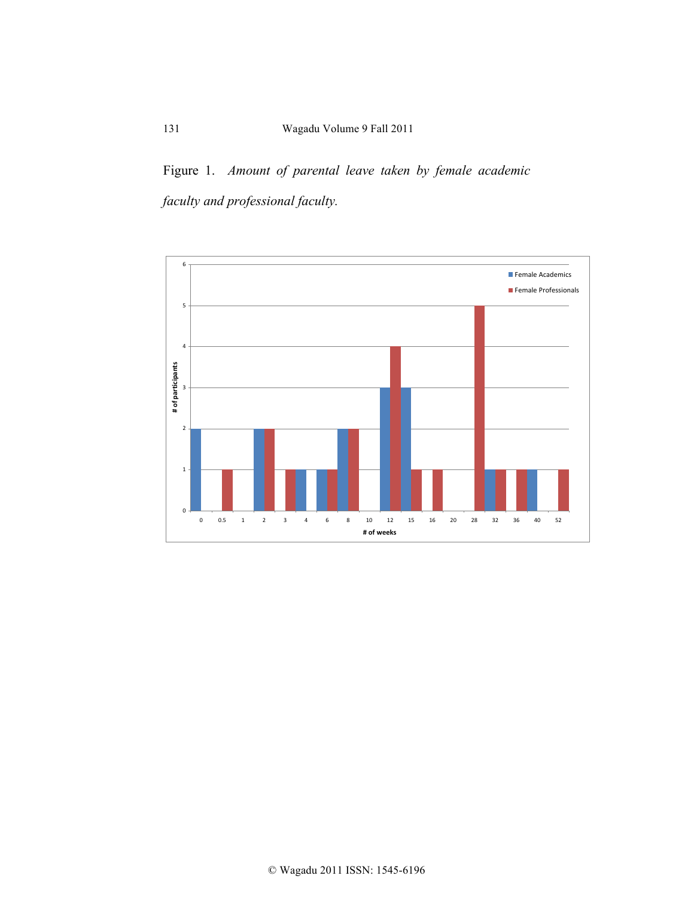Figure 1. *Amount of parental leave taken by female academic faculty and professional faculty.*

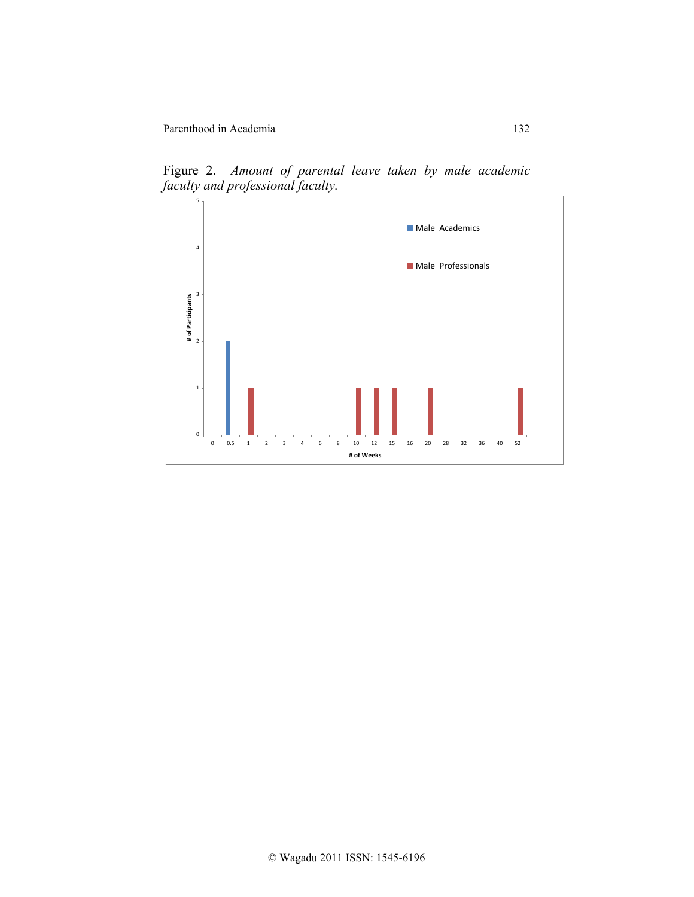Figure 2. *Amount of parental leave taken by male academic faculty and professional faculty.*

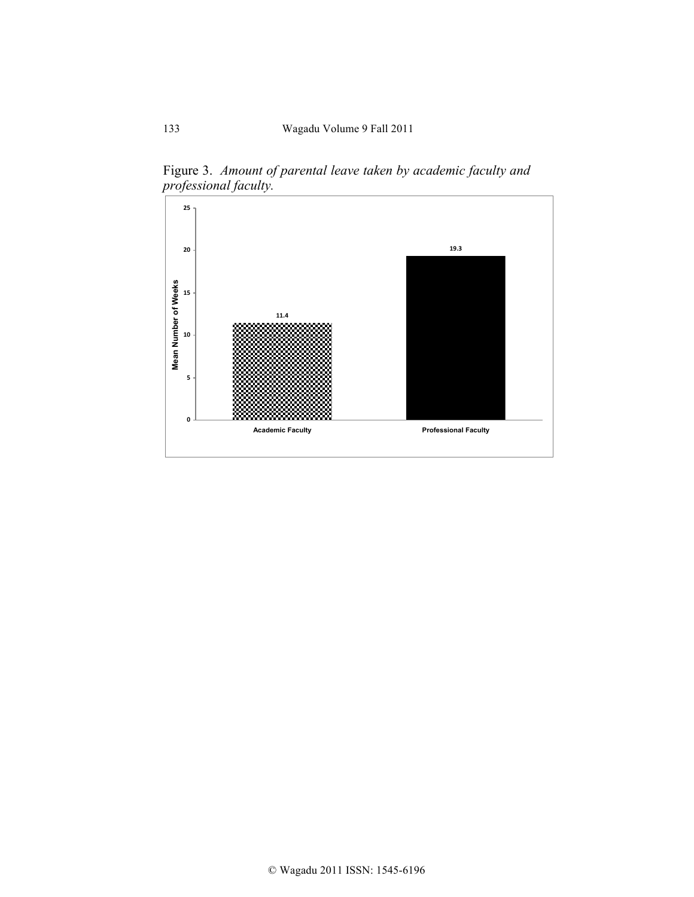

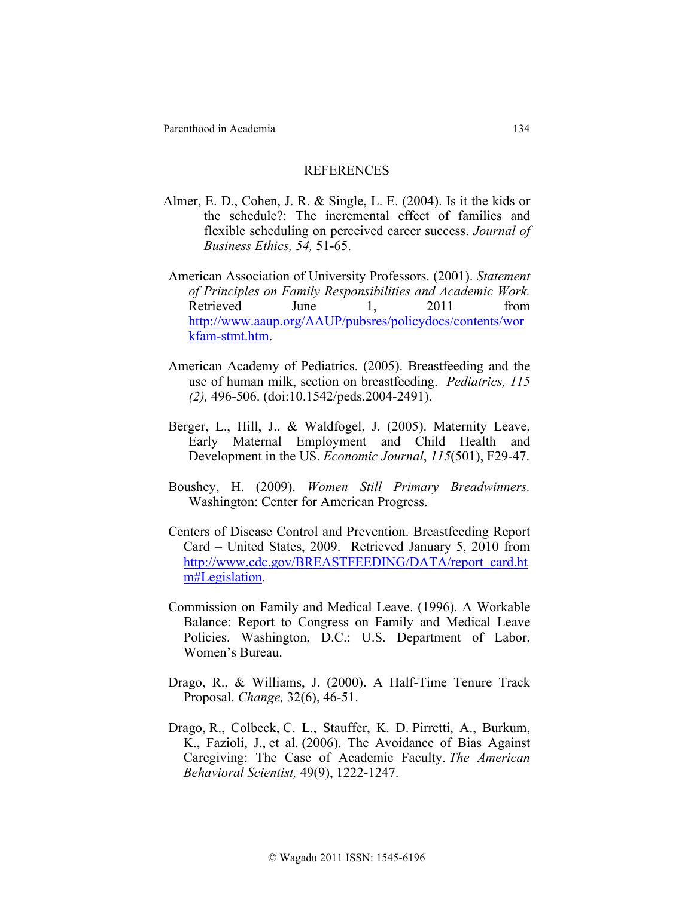#### **REFERENCES**

- Almer, E. D., Cohen, J. R. & Single, L. E. (2004). Is it the kids or the schedule?: The incremental effect of families and flexible scheduling on perceived career success. *Journal of Business Ethics, 54,* 51-65.
- American Association of University Professors. (2001). *Statement of Principles on Family Responsibilities and Academic Work.*  Retrieved June 1, 2011 from http://www.aaup.org/AAUP/pubsres/policydocs/contents/wor kfam-stmt.htm.
- American Academy of Pediatrics. (2005). Breastfeeding and the use of human milk, section on breastfeeding. *Pediatrics, 115 (2),* 496-506. (doi:10.1542/peds.2004-2491).
- Berger, L., Hill, J., & Waldfogel, J. (2005). Maternity Leave, Early Maternal Employment and Child Health and Development in the US. *Economic Journal*, *115*(501), F29-47.
- Boushey, H. (2009). *Women Still Primary Breadwinners.* Washington: Center for American Progress.
- Centers of Disease Control and Prevention. Breastfeeding Report Card – United States, 2009. Retrieved January 5, 2010 from http://www.cdc.gov/BREASTFEEDING/DATA/report\_card.ht m#Legislation.
- Commission on Family and Medical Leave. (1996). A Workable Balance: Report to Congress on Family and Medical Leave Policies. Washington, D.C.: U.S. Department of Labor, Women's Bureau.
- Drago, R., & Williams, J. (2000). A Half-Time Tenure Track Proposal. *Change,* 32(6), 46-51.
- Drago, R., Colbeck, C. L., Stauffer, K. D. Pirretti, A., Burkum, K., Fazioli, J., et al. (2006). The Avoidance of Bias Against Caregiving: The Case of Academic Faculty. *The American Behavioral Scientist,* 49(9), 1222-1247.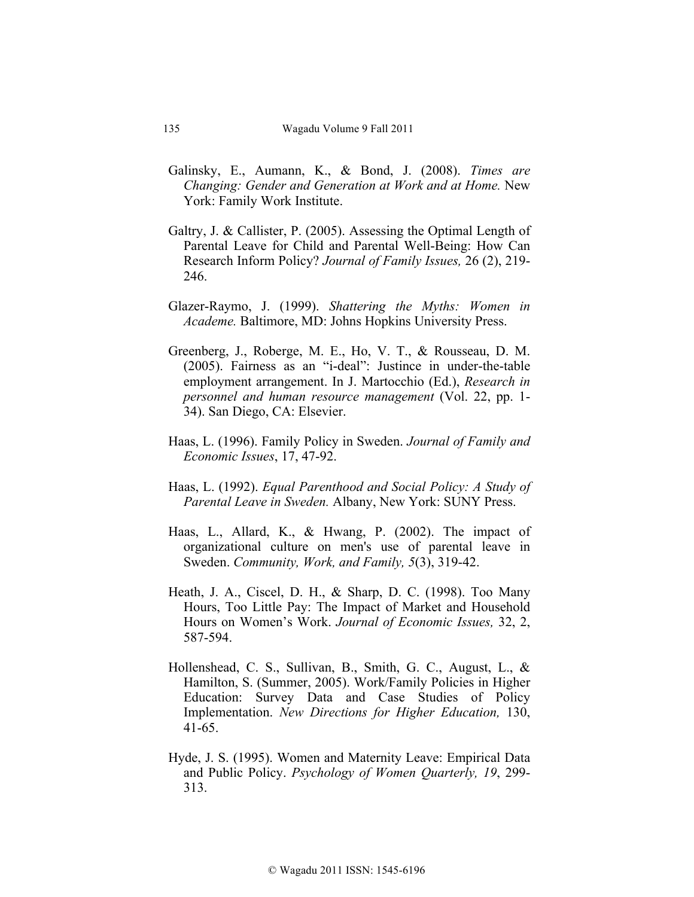- Galinsky, E., Aumann, K., & Bond, J. (2008). *Times are Changing: Gender and Generation at Work and at Home.* New York: Family Work Institute.
- Galtry, J. & Callister, P. (2005). Assessing the Optimal Length of Parental Leave for Child and Parental Well-Being: How Can Research Inform Policy? *Journal of Family Issues,* 26 (2), 219- 246.
- Glazer-Raymo, J. (1999). *Shattering the Myths: Women in Academe.* Baltimore, MD: Johns Hopkins University Press.
- Greenberg, J., Roberge, M. E., Ho, V. T., & Rousseau, D. M. (2005). Fairness as an "i-deal": Justince in under-the-table employment arrangement. In J. Martocchio (Ed.), *Research in personnel and human resource management* (Vol. 22, pp. 1- 34). San Diego, CA: Elsevier.
- Haas, L. (1996). Family Policy in Sweden. *Journal of Family and Economic Issues*, 17, 47-92.
- Haas, L. (1992). *Equal Parenthood and Social Policy: A Study of Parental Leave in Sweden.* Albany, New York: SUNY Press.
- Haas, L., Allard, K., & Hwang, P. (2002). The impact of organizational culture on men's use of parental leave in Sweden. *Community, Work, and Family, 5*(3), 319-42.
- Heath, J. A., Ciscel, D. H., & Sharp, D. C. (1998). Too Many Hours, Too Little Pay: The Impact of Market and Household Hours on Women's Work. *Journal of Economic Issues,* 32, 2, 587-594.
- Hollenshead, C. S., Sullivan, B., Smith, G. C., August, L., & Hamilton, S. (Summer, 2005). Work/Family Policies in Higher Education: Survey Data and Case Studies of Policy Implementation. *New Directions for Higher Education,* 130, 41-65.
- Hyde, J. S. (1995). Women and Maternity Leave: Empirical Data and Public Policy. *Psychology of Women Quarterly, 19*, 299- 313.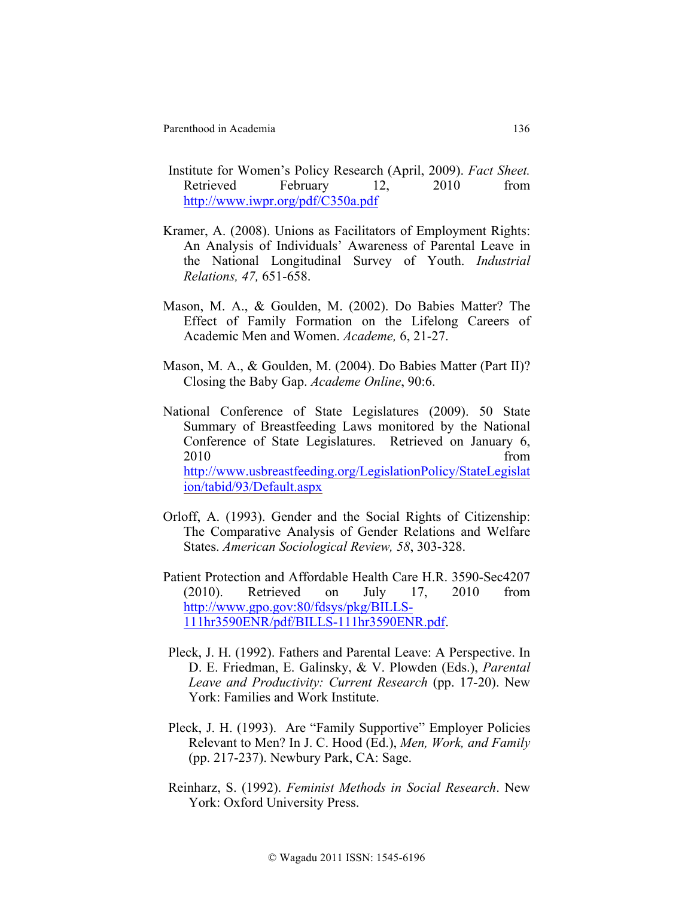- Institute for Women's Policy Research (April, 2009). *Fact Sheet.* Retrieved February 12, 2010 from http://www.iwpr.org/pdf/C350a.pdf
- Kramer, A. (2008). Unions as Facilitators of Employment Rights: An Analysis of Individuals' Awareness of Parental Leave in the National Longitudinal Survey of Youth. *Industrial Relations, 47,* 651-658.
- Mason, M. A., & Goulden, M. (2002). Do Babies Matter? The Effect of Family Formation on the Lifelong Careers of Academic Men and Women. *Academe,* 6, 21-27.
- Mason, M. A., & Goulden, M. (2004). Do Babies Matter (Part II)? Closing the Baby Gap. *Academe Online*, 90:6.
- National Conference of State Legislatures (2009). 50 State Summary of Breastfeeding Laws monitored by the National Conference of State Legislatures. Retrieved on January 6, 2010 from the state of  $\sim$  100 from the state of  $\sim$  100 from the state of  $\sim$  100 from the state of  $\sim$  100 from the state of  $\sim$  100 from the state of  $\sim$  100 from the state of  $\sim$  100 from the state of  $\sim$  100 f http://www.usbreastfeeding.org/LegislationPolicy/StateLegislat ion/tabid/93/Default.aspx
- Orloff, A. (1993). Gender and the Social Rights of Citizenship: The Comparative Analysis of Gender Relations and Welfare States. *American Sociological Review, 58*, 303-328.
- Patient Protection and Affordable Health Care H.R. 3590-Sec4207 (2010). Retrieved on July 17, 2010 from http://www.gpo.gov:80/fdsys/pkg/BILLS-111hr3590ENR/pdf/BILLS-111hr3590ENR.pdf.
- Pleck, J. H. (1992). Fathers and Parental Leave: A Perspective. In D. E. Friedman, E. Galinsky, & V. Plowden (Eds.), *Parental Leave and Productivity: Current Research* (pp. 17-20). New York: Families and Work Institute.
- Pleck, J. H. (1993). Are "Family Supportive" Employer Policies Relevant to Men? In J. C. Hood (Ed.), *Men, Work, and Family*  (pp. 217-237). Newbury Park, CA: Sage.
- Reinharz, S. (1992). *Feminist Methods in Social Research*. New York: Oxford University Press.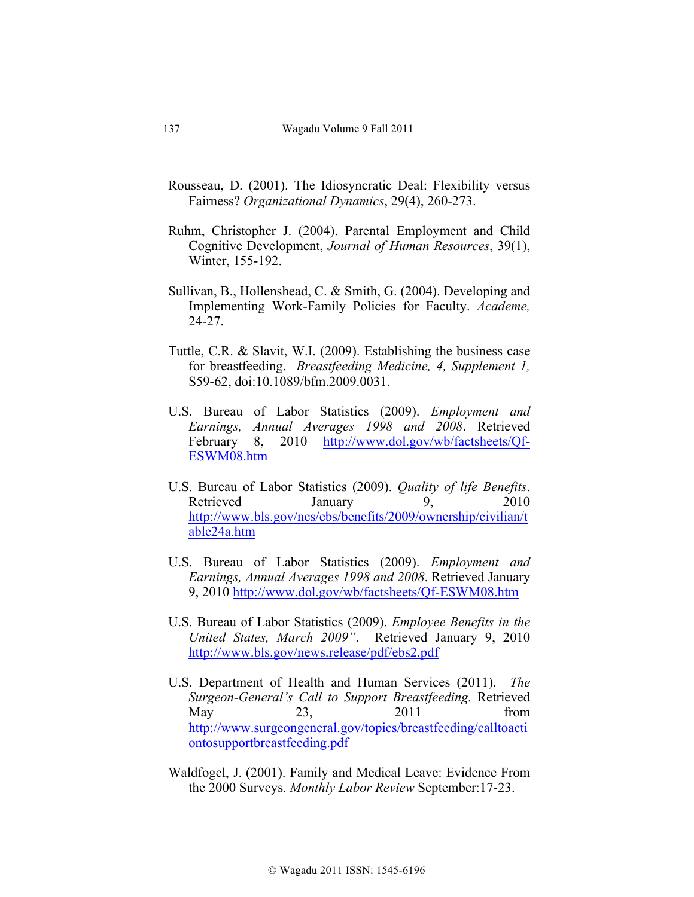- Rousseau, D. (2001). The Idiosyncratic Deal: Flexibility versus Fairness? *Organizational Dynamics*, 29(4), 260-273.
- Ruhm, Christopher J. (2004). Parental Employment and Child Cognitive Development, *Journal of Human Resources*, 39(1), Winter, 155-192.
- Sullivan, B., Hollenshead, C. & Smith, G. (2004). Developing and Implementing Work-Family Policies for Faculty. *Academe,*  24-27.
- Tuttle, C.R. & Slavit, W.I. (2009). Establishing the business case for breastfeeding. *Breastfeeding Medicine, 4, Supplement 1,*  S59-62, doi:10.1089/bfm.2009.0031.
- U.S. Bureau of Labor Statistics (2009). *Employment and Earnings, Annual Averages 1998 and 2008*. Retrieved February 8, 2010 http://www.dol.gov/wb/factsheets/Qf-ESWM08.htm
- U.S. Bureau of Labor Statistics (2009). *Quality of life Benefits*. Retrieved January 9, 2010 http://www.bls.gov/ncs/ebs/benefits/2009/ownership/civilian/t able24a.htm
- U.S. Bureau of Labor Statistics (2009). *Employment and Earnings, Annual Averages 1998 and 2008*. Retrieved January 9, 2010 http://www.dol.gov/wb/factsheets/Qf-ESWM08.htm
- U.S. Bureau of Labor Statistics (2009). *Employee Benefits in the United States, March 2009"*. Retrieved January 9, 2010 http://www.bls.gov/news.release/pdf/ebs2.pdf
- U.S. Department of Health and Human Services (2011). *The Surgeon-General's Call to Support Breastfeeding.* Retrieved May 23, 2011 from http://www.surgeongeneral.gov/topics/breastfeeding/calltoacti ontosupportbreastfeeding.pdf
- Waldfogel, J. (2001). Family and Medical Leave: Evidence From the 2000 Surveys. *Monthly Labor Review* September:17-23.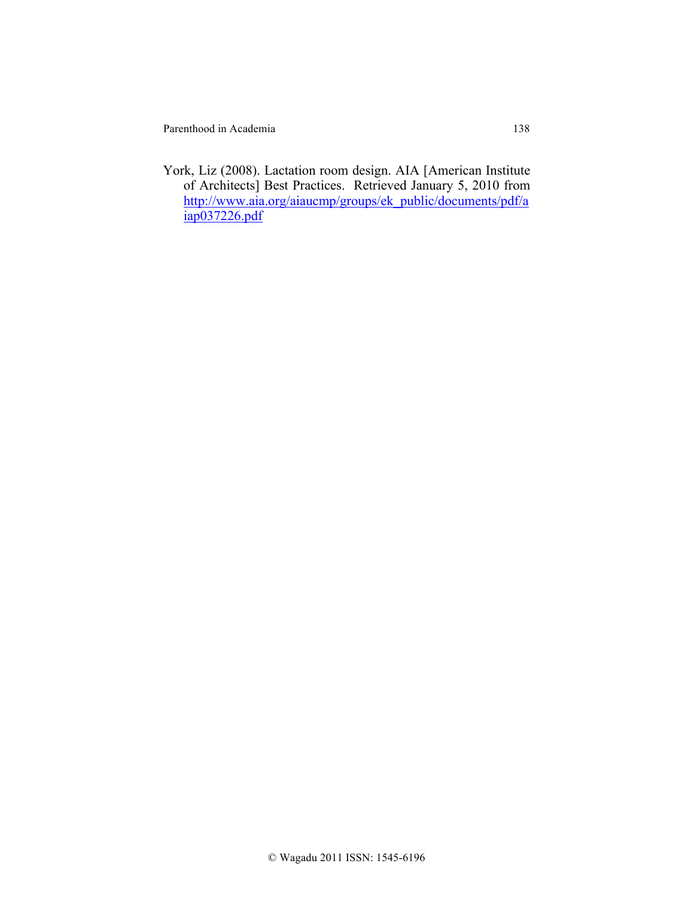Parenthood in Academia 138

York, Liz (2008). Lactation room design. AIA [American Institute of Architects] Best Practices. Retrieved January 5, 2010 from http://www.aia.org/aiaucmp/groups/ek\_public/documents/pdf/a iap037226.pdf